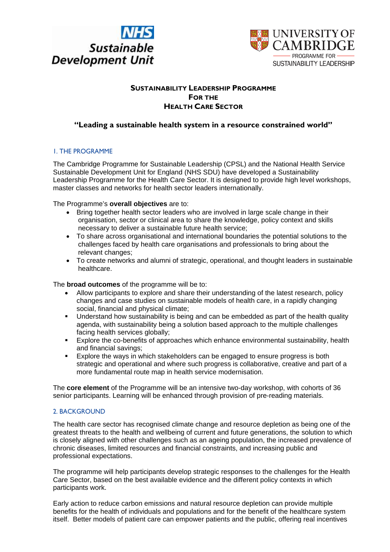



## **SUSTAINABILITY LEADERSHIP PROGRAMME FOR THE HEALTH CARE SECTOR**

# **"Leading a sustainable health system in a resource constrained world"**

## 1. THE PROGRAMME

The Cambridge Programme for Sustainable Leadership (CPSL) and the National Health Service Sustainable Development Unit for England (NHS SDU) have developed a Sustainability Leadership Programme for the Health Care Sector. It is designed to provide high level workshops, master classes and networks for health sector leaders internationally.

The Programme's **overall objectives** are to:

- Bring together health sector leaders who are involved in large scale change in their organisation, sector or clinical area to share the knowledge, policy context and skills necessary to deliver a sustainable future health service;
- To share across organisational and international boundaries the potential solutions to the challenges faced by health care organisations and professionals to bring about the relevant changes;
- To create networks and alumni of strategic, operational, and thought leaders in sustainable healthcare.

The **broad outcomes** of the programme will be to:

- Allow participants to explore and share their understanding of the latest research, policy changes and case studies on sustainable models of health care, in a rapidly changing social, financial and physical climate;
- Understand how sustainability is being and can be embedded as part of the health quality agenda, with sustainability being a solution based approach to the multiple challenges facing health services globally;
- **Explore the co-benefits of approaches which enhance environmental sustainability, health** and financial savings;
- **Explore the ways in which stakeholders can be engaged to ensure progress is both** strategic and operational and where such progress is collaborative, creative and part of a more fundamental route map in health service modernisation.

The **core element** of the Programme will be an intensive two-day workshop, with cohorts of 36 senior participants. Learning will be enhanced through provision of pre-reading materials.

#### 2. BACKGROUND

The health care sector has recognised climate change and resource depletion as being one of the greatest threats to the health and wellbeing of current and future generations, the solution to which is closely aligned with other challenges such as an ageing population, the increased prevalence of chronic diseases, limited resources and financial constraints, and increasing public and professional expectations.

The programme will help participants develop strategic responses to the challenges for the Health Care Sector, based on the best available evidence and the different policy contexts in which participants work.

Early action to reduce carbon emissions and natural resource depletion can provide multiple benefits for the health of individuals and populations and for the benefit of the healthcare system itself. Better models of patient care can empower patients and the public, offering real incentives